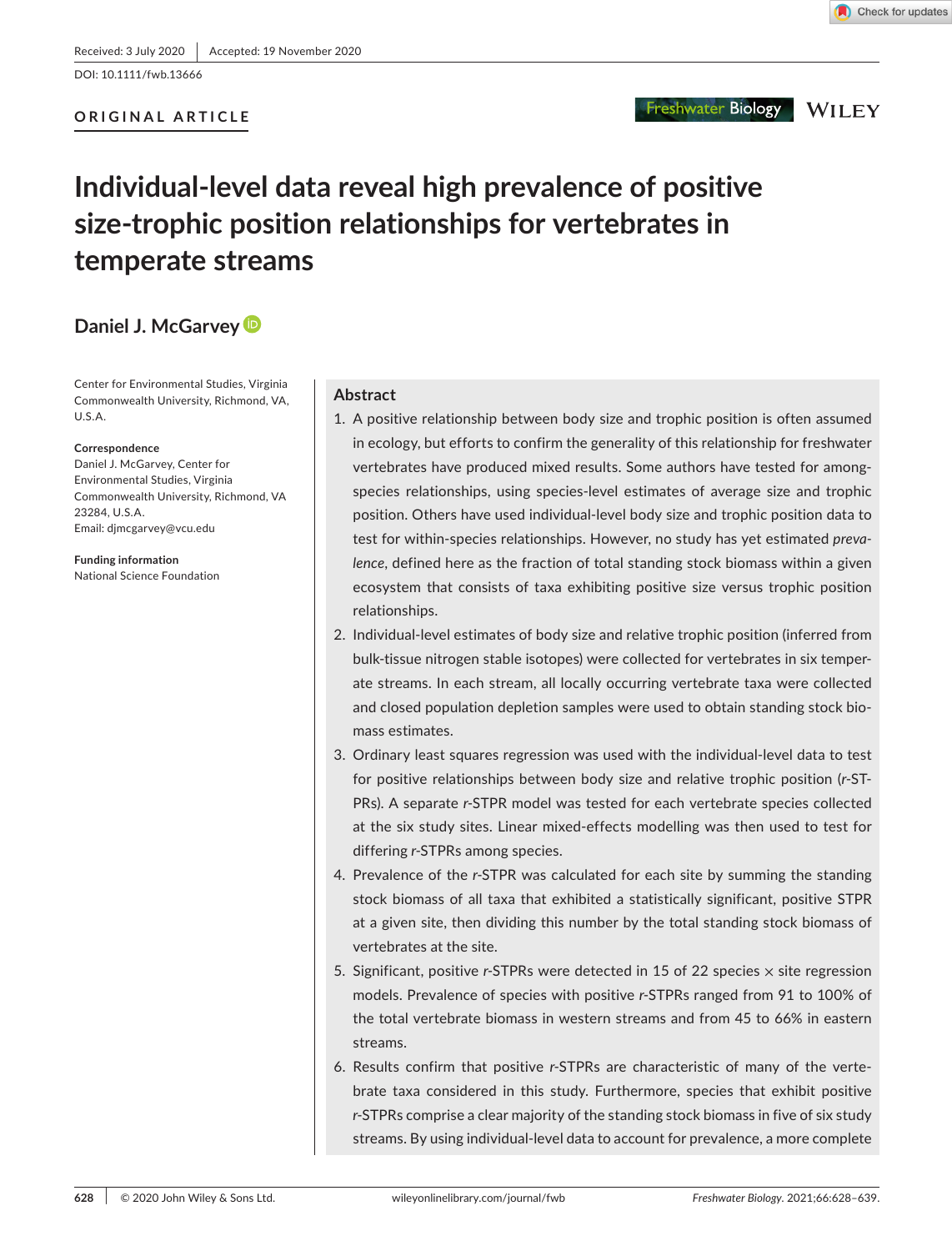DOI: 10.1111/fwb.13666

# **ORIGINAL ARTICLE**

# Freshwater Biology WILEY

# **Individual-level data reveal high prevalence of positive size-trophic position relationships for vertebrates in temperate streams**

# **Daniel J. McGarve[y](https://orcid.org/0000-0002-1218-5896)**

Center for Environmental Studies, Virginia Commonwealth University, Richmond, VA, U.S.A.

#### **Correspondence**

Daniel J. McGarvey, Center for Environmental Studies, Virginia Commonwealth University, Richmond, VA 23284, U.S.A. Email: [djmcgarvey@vcu.edu](mailto:djmcgarvey@vcu.edu)

**Funding information** National Science Foundation

#### **Abstract**

- 1. A positive relationship between body size and trophic position is often assumed in ecology, but efforts to confirm the generality of this relationship for freshwater vertebrates have produced mixed results. Some authors have tested for amongspecies relationships, using species-level estimates of average size and trophic position. Others have used individual-level body size and trophic position data to test for within-species relationships. However, no study has yet estimated *prevalence*, defined here as the fraction of total standing stock biomass within a given ecosystem that consists of taxa exhibiting positive size versus trophic position relationships.
- 2. Individual-level estimates of body size and relative trophic position (inferred from bulk-tissue nitrogen stable isotopes) were collected for vertebrates in six temperate streams. In each stream, all locally occurring vertebrate taxa were collected and closed population depletion samples were used to obtain standing stock biomass estimates.
- 3. Ordinary least squares regression was used with the individual-level data to test for positive relationships between body size and relative trophic position (*r*-ST-PRs). A separate *r*-STPR model was tested for each vertebrate species collected at the six study sites. Linear mixed-effects modelling was then used to test for differing *r*-STPRs among species.
- 4. Prevalence of the *r*-STPR was calculated for each site by summing the standing stock biomass of all taxa that exhibited a statistically significant, positive STPR at a given site, then dividing this number by the total standing stock biomass of vertebrates at the site.
- 5. Significant, positive *r*-STPRs were detected in 15 of 22 species × site regression models. Prevalence of species with positive *r*-STPRs ranged from 91 to 100% of the total vertebrate biomass in western streams and from 45 to 66% in eastern streams.
- 6. Results confirm that positive *r*-STPRs are characteristic of many of the vertebrate taxa considered in this study. Furthermore, species that exhibit positive *r*-STPRs comprise a clear majority of the standing stock biomass in five of six study streams. By using individual-level data to account for prevalence, a more complete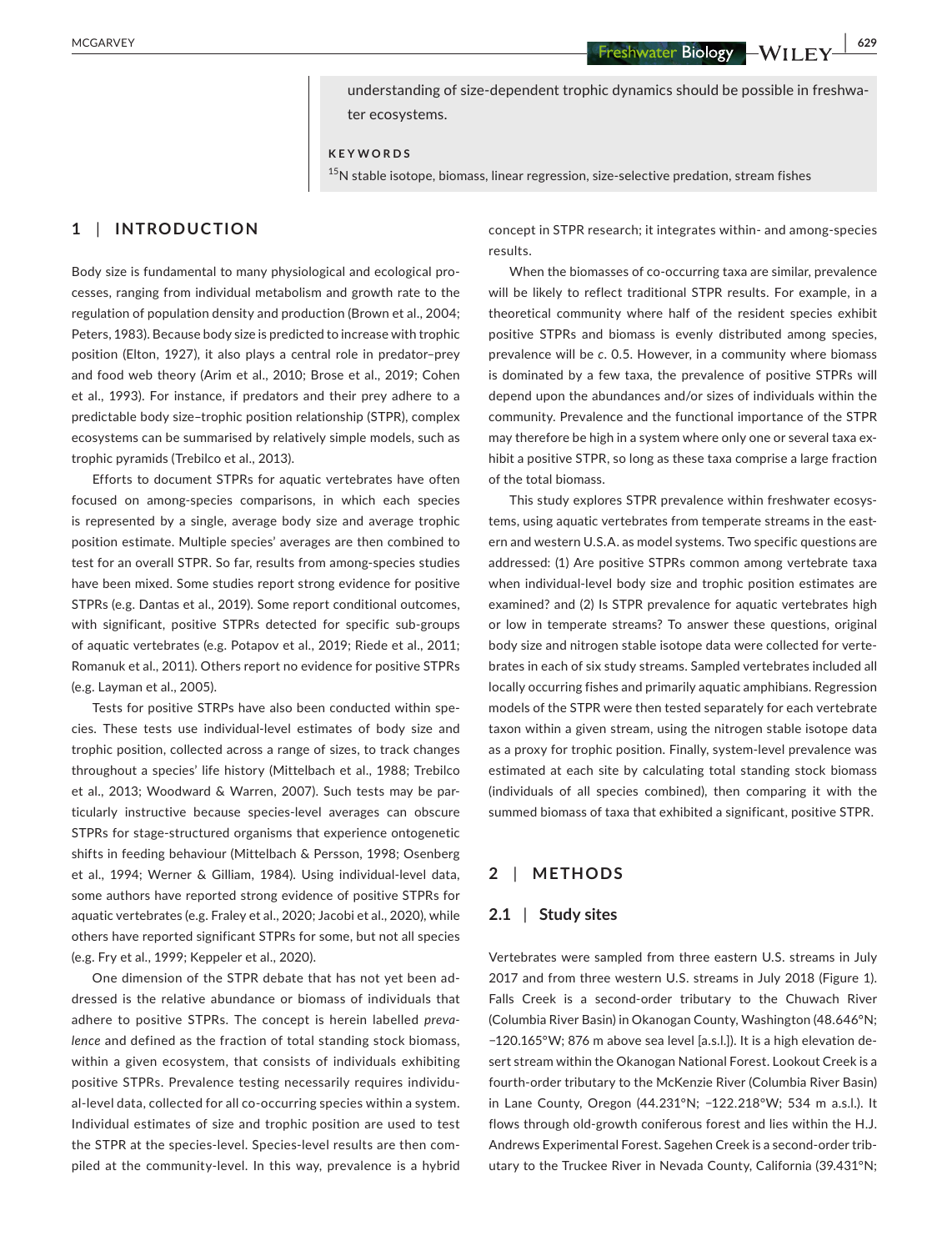**Freshwater Biology – WII FV** 629

understanding of size-dependent trophic dynamics should be possible in freshwater ecosystems.

#### **KEYWORDS**

<sup>15</sup>N stable isotope, biomass, linear regression, size-selective predation, stream fishes

#### **1** | **INTRODUCTION**

Body size is fundamental to many physiological and ecological processes, ranging from individual metabolism and growth rate to the regulation of population density and production (Brown et al., 2004; Peters, 1983). Because body size is predicted to increase with trophic position (Elton, 1927), it also plays a central role in predator–prey and food web theory (Arim et al., 2010; Brose et al., 2019; Cohen et al., 1993). For instance, if predators and their prey adhere to a predictable body size–trophic position relationship (STPR), complex ecosystems can be summarised by relatively simple models, such as trophic pyramids (Trebilco et al., 2013).

Efforts to document STPRs for aquatic vertebrates have often focused on among-species comparisons, in which each species is represented by a single, average body size and average trophic position estimate. Multiple species' averages are then combined to test for an overall STPR. So far, results from among-species studies have been mixed. Some studies report strong evidence for positive STPRs (e.g. Dantas et al., 2019). Some report conditional outcomes, with significant, positive STPRs detected for specific sub-groups of aquatic vertebrates (e.g. Potapov et al., 2019; Riede et al., 2011; Romanuk et al., 2011). Others report no evidence for positive STPRs (e.g. Layman et al., 2005).

Tests for positive STRPs have also been conducted within species. These tests use individual-level estimates of body size and trophic position, collected across a range of sizes, to track changes throughout a species' life history (Mittelbach et al., 1988; Trebilco et al., 2013; Woodward & Warren, 2007). Such tests may be particularly instructive because species-level averages can obscure STPRs for stage-structured organisms that experience ontogenetic shifts in feeding behaviour (Mittelbach & Persson, 1998; Osenberg et al., 1994; Werner & Gilliam, 1984). Using individual-level data, some authors have reported strong evidence of positive STPRs for aquatic vertebrates (e.g. Fraley et al., 2020; Jacobi et al., 2020), while others have reported significant STPRs for some, but not all species (e.g. Fry et al., 1999; Keppeler et al., 2020).

One dimension of the STPR debate that has not yet been addressed is the relative abundance or biomass of individuals that adhere to positive STPRs. The concept is herein labelled *prevalence* and defined as the fraction of total standing stock biomass, within a given ecosystem, that consists of individuals exhibiting positive STPRs. Prevalence testing necessarily requires individual-level data, collected for all co-occurring species within a system. Individual estimates of size and trophic position are used to test the STPR at the species-level. Species-level results are then compiled at the community-level. In this way, prevalence is a hybrid

concept in STPR research; it integrates within- and among-species results.

When the biomasses of co-occurring taxa are similar, prevalence will be likely to reflect traditional STPR results. For example, in a theoretical community where half of the resident species exhibit positive STPRs and biomass is evenly distributed among species, prevalence will be *c*. 0.5. However, in a community where biomass is dominated by a few taxa, the prevalence of positive STPRs will depend upon the abundances and/or sizes of individuals within the community. Prevalence and the functional importance of the STPR may therefore be high in a system where only one or several taxa exhibit a positive STPR, so long as these taxa comprise a large fraction of the total biomass.

This study explores STPR prevalence within freshwater ecosystems, using aquatic vertebrates from temperate streams in the eastern and western U.S.A. as model systems. Two specific questions are addressed: (1) Are positive STPRs common among vertebrate taxa when individual-level body size and trophic position estimates are examined? and (2) Is STPR prevalence for aquatic vertebrates high or low in temperate streams? To answer these questions, original body size and nitrogen stable isotope data were collected for vertebrates in each of six study streams. Sampled vertebrates included all locally occurring fishes and primarily aquatic amphibians. Regression models of the STPR were then tested separately for each vertebrate taxon within a given stream, using the nitrogen stable isotope data as a proxy for trophic position. Finally, system-level prevalence was estimated at each site by calculating total standing stock biomass (individuals of all species combined), then comparing it with the summed biomass of taxa that exhibited a significant, positive STPR.

# **2** | **METHODS**

# **2.1** | **Study sites**

Vertebrates were sampled from three eastern U.S. streams in July 2017 and from three western U.S. streams in July 2018 (Figure 1). Falls Creek is a second-order tributary to the Chuwach River (Columbia River Basin) in Okanogan County, Washington (48.646°N; −120.165°W; 876 m above sea level [a.s.l.]). It is a high elevation desert stream within the Okanogan National Forest. Lookout Creek is a fourth-order tributary to the McKenzie River (Columbia River Basin) in Lane County, Oregon (44.231°N; −122.218°W; 534 m a.s.l.). It flows through old-growth coniferous forest and lies within the H.J. Andrews Experimental Forest. Sagehen Creek is a second-order tributary to the Truckee River in Nevada County, California (39.431°N;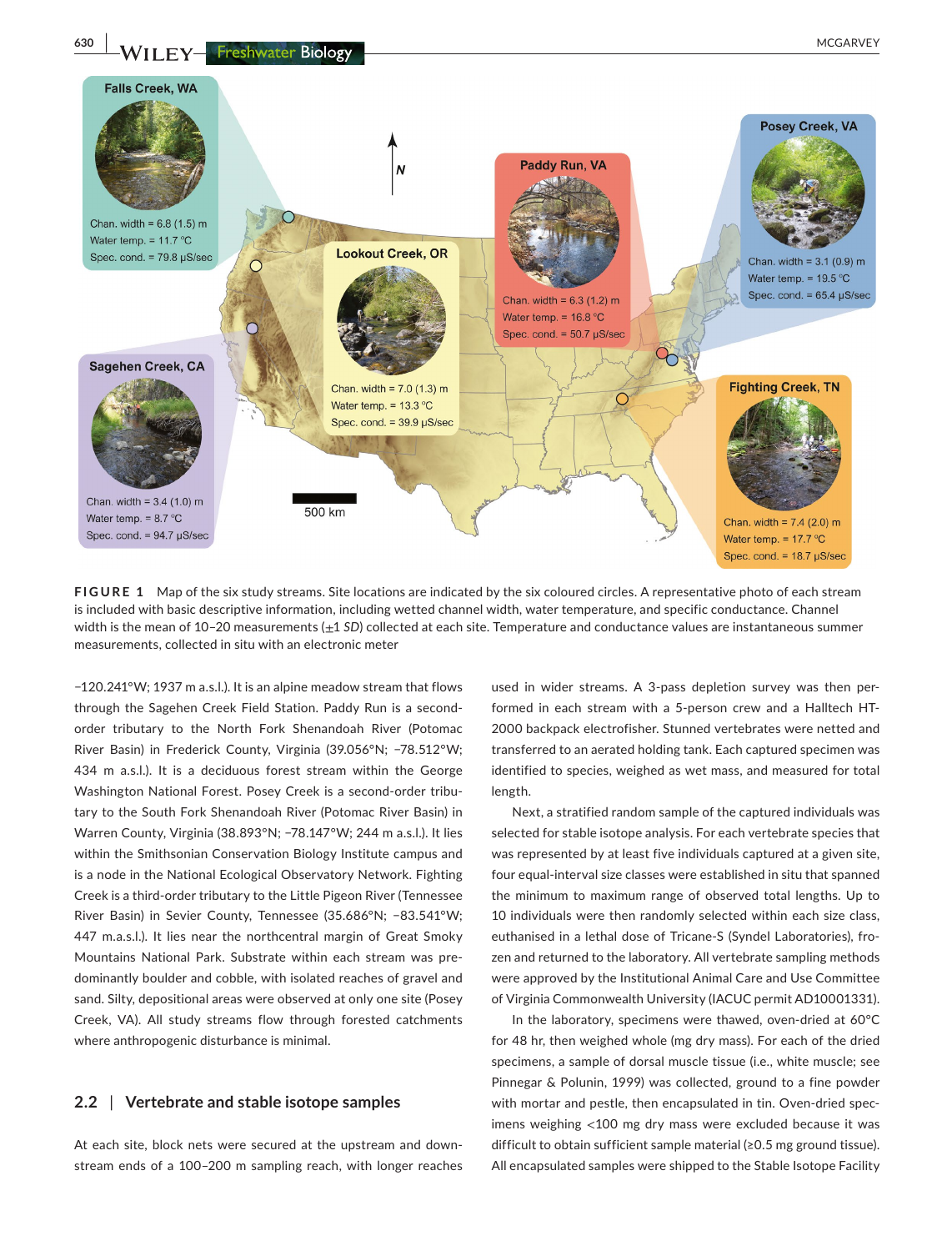

**FIGURE 1** Map of the six study streams. Site locations are indicated by the six coloured circles. A representative photo of each stream is included with basic descriptive information, including wetted channel width, water temperature, and specific conductance. Channel width is the mean of 10-20 measurements (±1 *SD*) collected at each site. Temperature and conductance values are instantaneous summer measurements, collected in situ with an electronic meter

−120.241°W; 1937 m a.s.l.). It is an alpine meadow stream that flows through the Sagehen Creek Field Station. Paddy Run is a secondorder tributary to the North Fork Shenandoah River (Potomac River Basin) in Frederick County, Virginia (39.056°N; −78.512°W; 434 m a.s.l.). It is a deciduous forest stream within the George Washington National Forest. Posey Creek is a second-order tributary to the South Fork Shenandoah River (Potomac River Basin) in Warren County, Virginia (38.893°N; −78.147°W; 244 m a.s.l.). It lies within the Smithsonian Conservation Biology Institute campus and is a node in the National Ecological Observatory Network. Fighting Creek is a third-order tributary to the Little Pigeon River (Tennessee River Basin) in Sevier County, Tennessee (35.686°N; −83.541°W; 447 m.a.s.l.). It lies near the northcentral margin of Great Smoky Mountains National Park. Substrate within each stream was predominantly boulder and cobble, with isolated reaches of gravel and sand. Silty, depositional areas were observed at only one site (Posey Creek, VA). All study streams flow through forested catchments where anthropogenic disturbance is minimal.

#### **2.2** | **Vertebrate and stable isotope samples**

At each site, block nets were secured at the upstream and downstream ends of a 100–200 m sampling reach, with longer reaches

used in wider streams. A 3-pass depletion survey was then performed in each stream with a 5-person crew and a Halltech HT-2000 backpack electrofisher. Stunned vertebrates were netted and transferred to an aerated holding tank. Each captured specimen was identified to species, weighed as wet mass, and measured for total length.

Next, a stratified random sample of the captured individuals was selected for stable isotope analysis. For each vertebrate species that was represented by at least five individuals captured at a given site, four equal-interval size classes were established in situ that spanned the minimum to maximum range of observed total lengths. Up to 10 individuals were then randomly selected within each size class, euthanised in a lethal dose of Tricane-S (Syndel Laboratories), frozen and returned to the laboratory. All vertebrate sampling methods were approved by the Institutional Animal Care and Use Committee of Virginia Commonwealth University (IACUC permit AD10001331).

In the laboratory, specimens were thawed, oven-dried at 60°C for 48 hr, then weighed whole (mg dry mass). For each of the dried specimens, a sample of dorsal muscle tissue (i.e., white muscle; see Pinnegar & Polunin, 1999) was collected, ground to a fine powder with mortar and pestle, then encapsulated in tin. Oven-dried specimens weighing <100 mg dry mass were excluded because it was difficult to obtain sufficient sample material (≥0.5 mg ground tissue). All encapsulated samples were shipped to the Stable Isotope Facility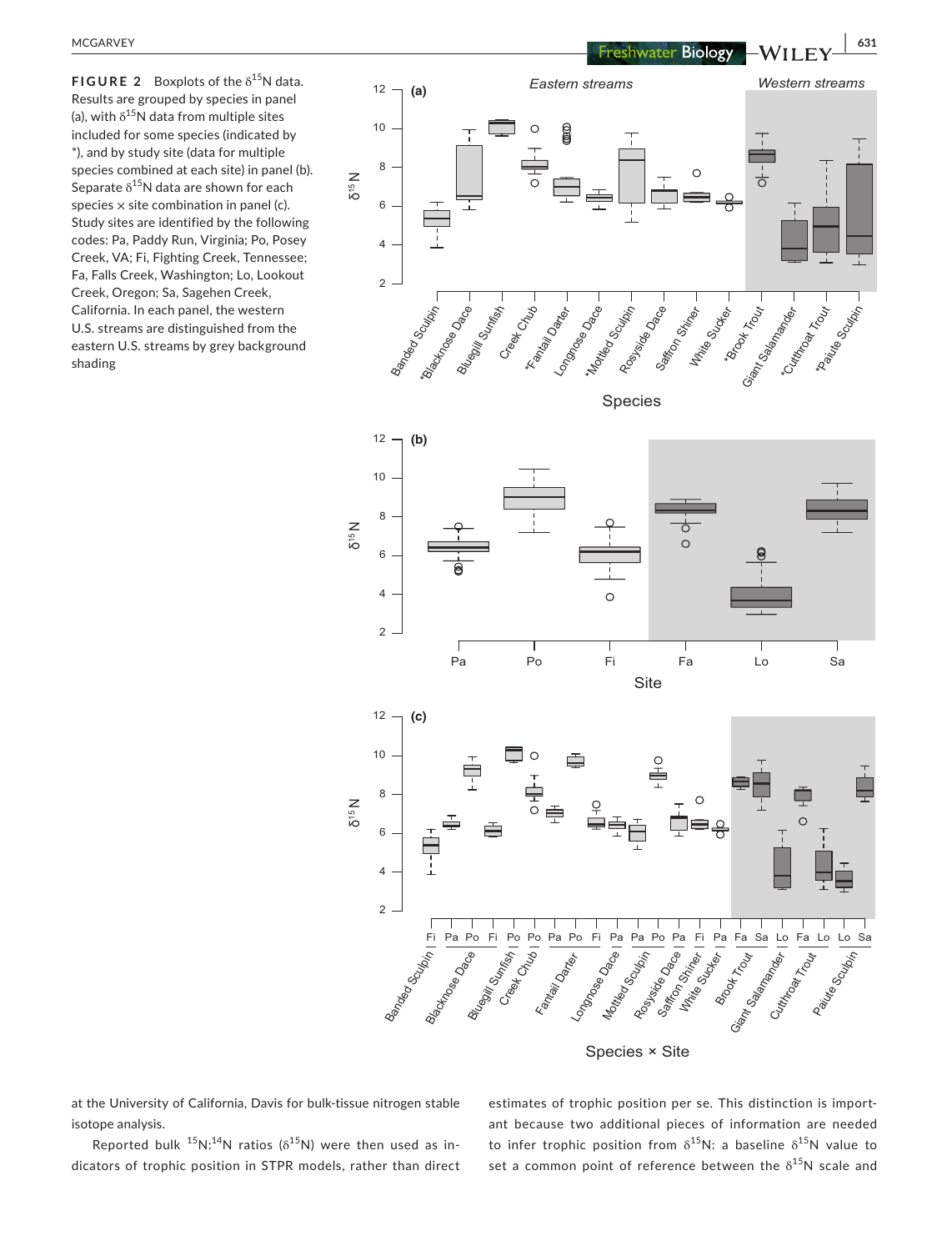**FIGURE 2** Boxplots of the  $\delta^{15}N$  data. Results are grouped by species in panel (a), with  $\delta^{15}N$  data from multiple sites included for some species (indicated by \*), and by study site (data for multiple species combined at each site) in panel (b). Separate  $\delta^{15}$ N data are shown for each species  $\times$  site combination in panel (c). Study sites are identified by the following codes: Pa, Paddy Run, Virginia; Po, Posey Creek, VA; Fi, Fighting Creek, Tennessee; Fa, Falls Creek, Washington; Lo, Lookout Creek, Oregon; Sa, Sagehen Creek, California. In each panel, the western U.S. streams are distinguished from the eastern U.S. streams by grey background shading









at the University of California, Davis for bulk-tissue nitrogen stable isotope analysis.

Reported bulk  $^{15}N:^{14}N$  ratios ( $\delta^{15}N$ ) were then used as indicators of trophic position in STPR models, rather than direct estimates of trophic position per se. This distinction is important because two additional pieces of information are needed to infer trophic position from  $\delta^{15}N$ : a baseline  $\delta^{15}N$  value to set a common point of reference between the  $\delta^{15}N$  scale and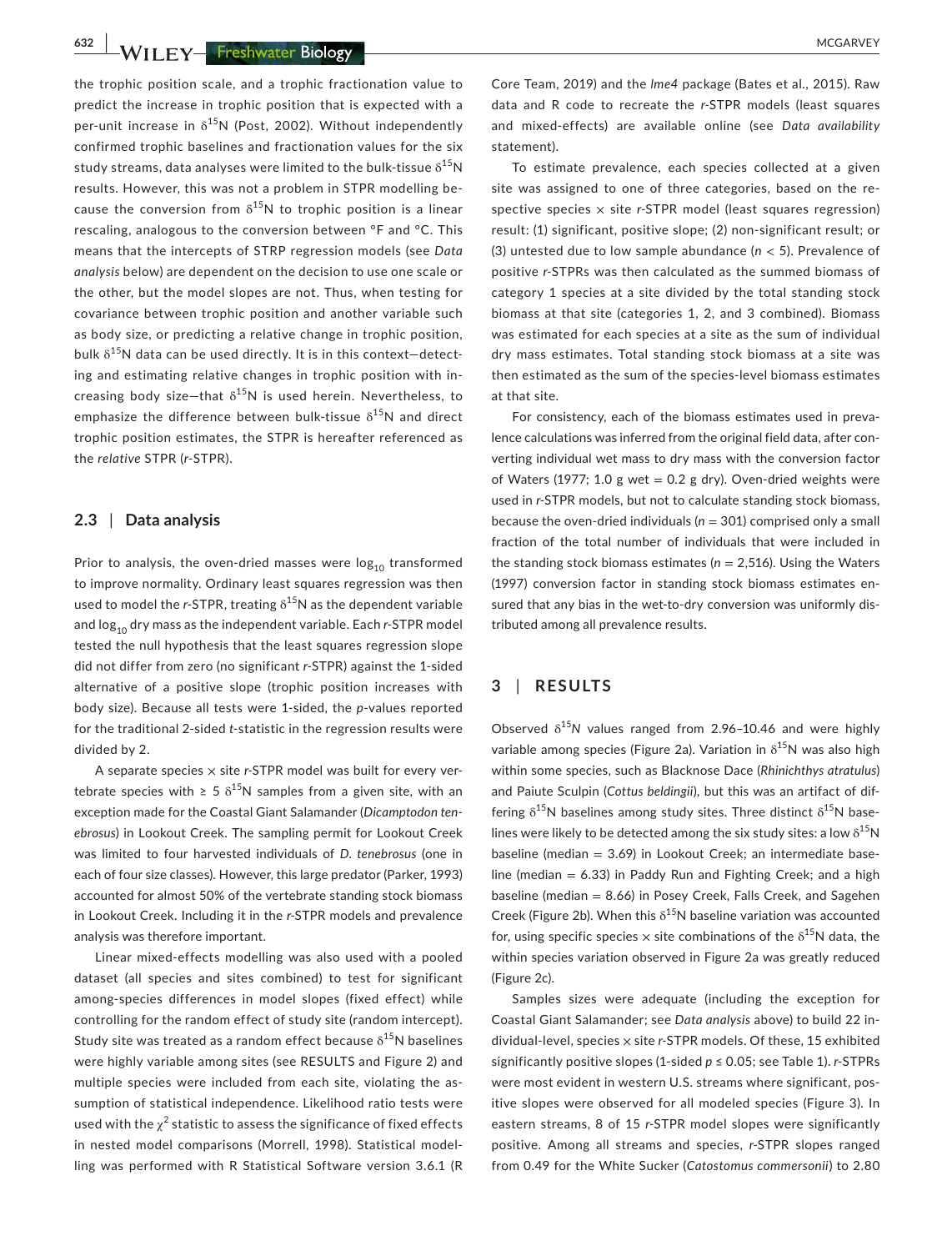**632 WII FY-Freshwater Biology Research Construction** MCGARVEY

the trophic position scale, and a trophic fractionation value to predict the increase in trophic position that is expected with a per-unit increase in  $\delta^{15}N$  (Post, 2002). Without independently confirmed trophic baselines and fractionation values for the six study streams, data analyses were limited to the bulk-tissue  $\delta^{15}N$ results. However, this was not a problem in STPR modelling because the conversion from  $\delta^{15}$ N to trophic position is a linear rescaling, analogous to the conversion between °F and °C. This means that the intercepts of STRP regression models (see *Data analysis* below) are dependent on the decision to use one scale or the other, but the model slopes are not. Thus, when testing for covariance between trophic position and another variable such as body size, or predicting a relative change in trophic position, bulk  $\delta^{15}$ N data can be used directly. It is in this context-detecting and estimating relative changes in trophic position with increasing body size-that  $\delta^{15}N$  is used herein. Nevertheless, to emphasize the difference between bulk-tissue  $\delta^{15}N$  and direct trophic position estimates, the STPR is hereafter referenced as the *relative* STPR (*r*-STPR).

### **2.3** | **Data analysis**

Prior to analysis, the oven-dried masses were  $log_{10}$  transformed to improve normality. Ordinary least squares regression was then used to model the *r*-STPR, treating  $\delta^{15}$ N as the dependent variable and log<sub>10</sub> dry mass as the independent variable. Each *r*-STPR model tested the null hypothesis that the least squares regression slope did not differ from zero (no significant *r-*STPR) against the 1-sided alternative of a positive slope (trophic position increases with body size). Because all tests were 1-sided, the *p*-values reported for the traditional 2-sided *t*-statistic in the regression results were divided by 2.

A separate species × site *r-*STPR model was built for every vertebrate species with  $\geq 5$   $\delta^{15}N$  samples from a given site, with an exception made for the Coastal Giant Salamander (*Dicamptodon tenebrosus*) in Lookout Creek. The sampling permit for Lookout Creek was limited to four harvested individuals of *D. tenebrosus* (one in each of four size classes). However, this large predator (Parker, 1993) accounted for almost 50% of the vertebrate standing stock biomass in Lookout Creek. Including it in the *r-*STPR models and prevalence analysis was therefore important.

Linear mixed-effects modelling was also used with a pooled dataset (all species and sites combined) to test for significant among-species differences in model slopes (fixed effect) while controlling for the random effect of study site (random intercept). Study site was treated as a random effect because  $\delta^{15}N$  baselines were highly variable among sites (see RESULTS and Figure 2) and multiple species were included from each site, violating the assumption of statistical independence. Likelihood ratio tests were used with the  $\chi^2$  statistic to assess the significance of fixed effects in nested model comparisons (Morrell, 1998). Statistical modelling was performed with R Statistical Software version 3.6.1 (R

Core Team, 2019) and the *lme4* package (Bates et al., 2015). Raw data and R code to recreate the *r-*STPR models (least squares and mixed-effects) are available online (see *Data availability* statement).

To estimate prevalence, each species collected at a given site was assigned to one of three categories, based on the respective species × site *r-*STPR model (least squares regression) result: (1) significant, positive slope; (2) non-significant result; or (3) untested due to low sample abundance (*n* < 5). Prevalence of positive *r-*STPRs was then calculated as the summed biomass of category 1 species at a site divided by the total standing stock biomass at that site (categories 1, 2, and 3 combined). Biomass was estimated for each species at a site as the sum of individual dry mass estimates. Total standing stock biomass at a site was then estimated as the sum of the species-level biomass estimates at that site.

For consistency, each of the biomass estimates used in prevalence calculations was inferred from the original field data, after converting individual wet mass to dry mass with the conversion factor of Waters (1977; 1.0 g wet = 0.2 g dry). Oven-dried weights were used in *r-*STPR models, but not to calculate standing stock biomass, because the oven-dried individuals (*n* = 301) comprised only a small fraction of the total number of individuals that were included in the standing stock biomass estimates ( $n = 2,516$ ). Using the Waters (1997) conversion factor in standing stock biomass estimates ensured that any bias in the wet-to-dry conversion was uniformly distributed among all prevalence results.

# **3** | **RESULTS**

Observed δ<sup>15</sup>*N* values ranged from 2.96–10.46 and were highly variable among species (Figure 2a). Variation in  $\delta^{15}$ N was also high within some species, such as Blacknose Dace (*Rhinichthys atratulus*) and Paiute Sculpin (*Cottus beldingii*), but this was an artifact of differing  $\delta^{15}$ N baselines among study sites. Three distinct  $\delta^{15}$ N baselines were likely to be detected among the six study sites: a low  $\delta^{15}N$ baseline (median =  $3.69$ ) in Lookout Creek; an intermediate baseline (median  $= 6.33$ ) in Paddy Run and Fighting Creek; and a high baseline (median = 8.66) in Posey Creek, Falls Creek, and Sagehen Creek (Figure 2b). When this  $\delta^{15}$ N baseline variation was accounted for, using specific species  $\times$  site combinations of the  $\delta^{15}N$  data, the within species variation observed in Figure 2a was greatly reduced (Figure 2c).

Samples sizes were adequate (including the exception for Coastal Giant Salamander; see *Data analysis* above) to build 22 individual-level, species × site *r-*STPR models. Of these, 15 exhibited significantly positive slopes (1-sided *p* ≤ 0.05; see Table 1). *r-*STPRs were most evident in western U.S. streams where significant, positive slopes were observed for all modeled species (Figure 3). In eastern streams, 8 of 15 *r-*STPR model slopes were significantly positive. Among all streams and species, *r-*STPR slopes ranged from 0.49 for the White Sucker (*Catostomus commersonii*) to 2.80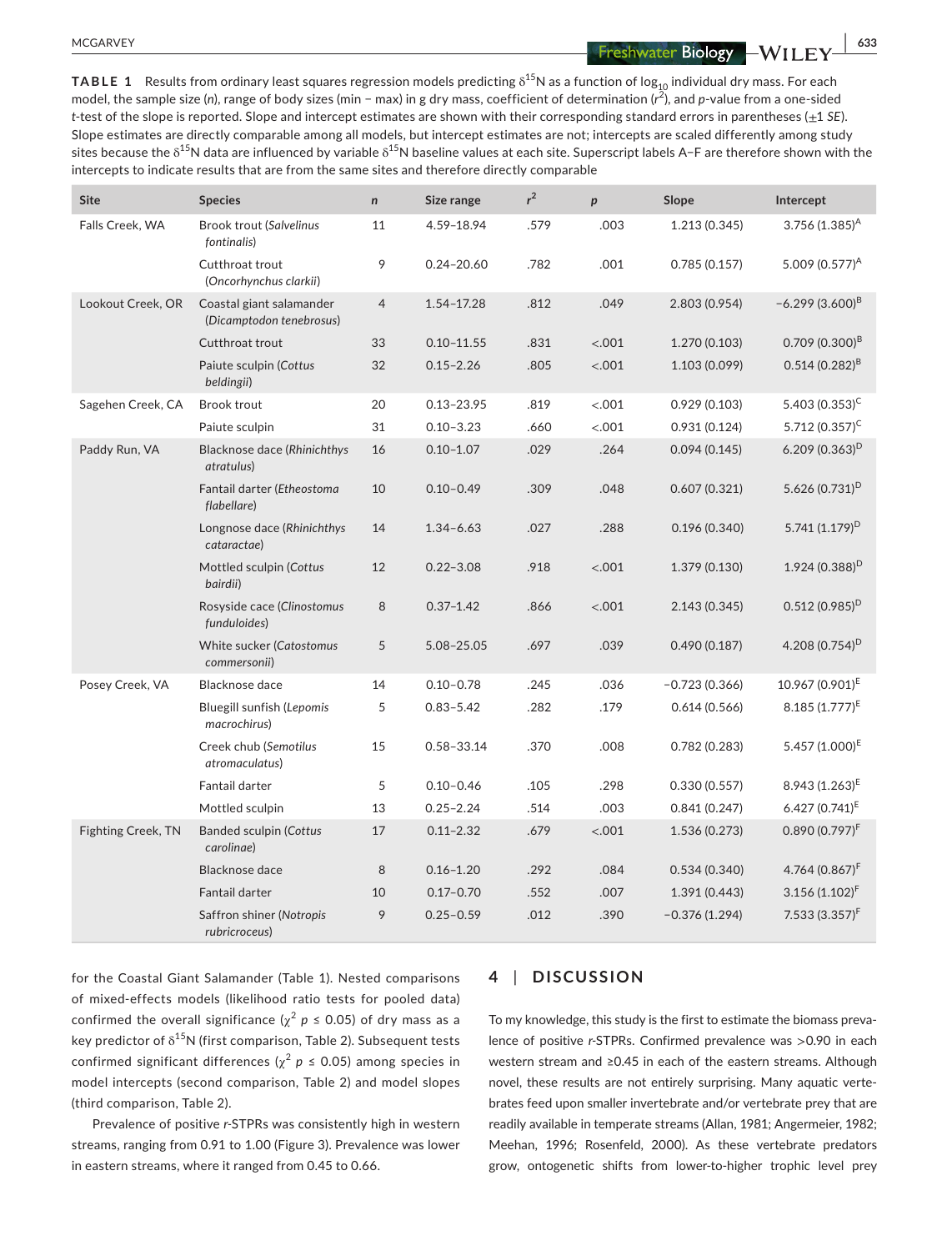**<u>MCGARVEY</u> BIOLOGY BIOLOGY BIOLOGY BIOLOGY BIOLOGY BIOLOGY** 

**TABLE 1** Results from ordinary least squares regression models predicting  $\delta^{15}$ N as a function of log<sub>10</sub> individual dry mass. For each model, the sample size (*n*), range of body sizes (min − max) in g dry mass, coefficient of determination (*r* 2 ), and *p*-value from a one-sided *t*-test of the slope is reported. Slope and intercept estimates are shown with their corresponding standard errors in parentheses (±1 *SE*). Slope estimates are directly comparable among all models, but intercept estimates are not; intercepts are scaled differently among study sites because the  $\delta^{15}N$  data are influenced by variable  $\delta^{15}N$  baseline values at each site. Superscript labels A-F are therefore shown with the intercepts to indicate results that are from the same sites and therefore directly comparable

| <b>Site</b>        | <b>Species</b>                                       | $\mathsf{n}$   | Size range     | $r^2$ | $\boldsymbol{p}$ | Slope           | Intercept           |
|--------------------|------------------------------------------------------|----------------|----------------|-------|------------------|-----------------|---------------------|
| Falls Creek, WA    | <b>Brook trout (Salvelinus</b><br>fontinalis)        | 11             | 4.59-18.94     | .579  | .003             | 1.213 (0.345)   | $3.756(1.385)^{A}$  |
|                    | Cutthroat trout<br>(Oncorhynchus clarkii)            | 9              | $0.24 - 20.60$ | .782  | .001             | 0.785(0.157)    | 5.009 $(0.577)^A$   |
| Lookout Creek, OR  | Coastal giant salamander<br>(Dicamptodon tenebrosus) | $\overline{4}$ | 1.54-17.28     | .812  | .049             | 2.803 (0.954)   | $-6.299(3.600)^{B}$ |
|                    | Cutthroat trout                                      | 33             | $0.10 - 11.55$ | .831  | < .001           | 1.270 (0.103)   | $0.709(0.300)^B$    |
|                    | Paiute sculpin (Cottus<br>beldingii)                 | 32             | $0.15 - 2.26$  | .805  | < .001           | 1.103 (0.099)   | $0.514(0.282)^{B}$  |
| Sagehen Creek, CA  | <b>Brook trout</b>                                   | 20             | $0.13 - 23.95$ | .819  | < .001           | 0.929(0.103)    | 5.403 $(0.353)^C$   |
|                    | Paiute sculpin                                       | 31             | $0.10 - 3.23$  | .660  | < .001           | 0.931(0.124)    | 5.712 $(0.357)^C$   |
| Paddy Run, VA      | <b>Blacknose dace (Rhinichthys</b><br>atratulus)     | 16             | $0.10 - 1.07$  | .029  | .264             | 0.094(0.145)    | 6.209 $(0.363)^D$   |
|                    | Fantail darter (Etheostoma<br>flabellare)            | 10             | $0.10 - 0.49$  | .309  | .048             | 0.607(0.321)    | 5.626 $(0.731)^D$   |
|                    | Longnose dace (Rhinichthys<br>cataractae)            | 14             | $1.34 - 6.63$  | .027  | .288             | 0.196(0.340)    | 5.741 $(1.179)^D$   |
|                    | Mottled sculpin (Cottus<br>bairdii)                  | 12             | $0.22 - 3.08$  | .918  | < .001           | 1.379 (0.130)   | $1.924(0.388)^D$    |
|                    | Rosyside cace (Clinostomus<br>funduloides)           | 8              | $0.37 - 1.42$  | .866  | < .001           | 2.143(0.345)    | $0.512(0.985)^D$    |
|                    | White sucker (Catostomus<br>commersonii)             | 5              | 5.08-25.05     | .697  | .039             | 0.490(0.187)    | 4.208 $(0.754)^D$   |
| Posey Creek, VA    | Blacknose dace                                       | 14             | $0.10 - 0.78$  | .245  | .036             | $-0.723(0.366)$ | $10.967(0.901)^E$   |
|                    | Bluegill sunfish (Lepomis<br>macrochirus)            | 5              | $0.83 - 5.42$  | .282  | .179             | 0.614(0.566)    | $8.185(1.777)^E$    |
|                    | Creek chub (Semotilus<br>atromaculatus)              | 15             | $0.58 - 33.14$ | .370  | .008             | 0.782(0.283)    | 5.457 $(1.000)^E$   |
|                    | Fantail darter                                       | 5              | $0.10 - 0.46$  | .105  | .298             | 0.330(0.557)    | 8.943 $(1.263)^E$   |
|                    | Mottled sculpin                                      | 13             | $0.25 - 2.24$  | .514  | .003             | 0.841(0.247)    | $6.427(0.741)^E$    |
| Fighting Creek, TN | <b>Banded sculpin (Cottus</b><br>carolinae)          | 17             | $0.11 - 2.32$  | .679  | < .001           | 1.536 (0.273)   | $0.890(0.797)^F$    |
|                    | Blacknose dace                                       | 8              | $0.16 - 1.20$  | .292  | .084             | 0.534(0.340)    | 4.764 $(0.867)^F$   |
|                    | <b>Fantail darter</b>                                | 10             | $0.17 - 0.70$  | .552  | .007             | 1.391(0.443)    | $3.156(1.102)^F$    |
|                    | Saffron shiner (Notropis<br>rubricroceus)            | 9              | $0.25 - 0.59$  | .012  | .390             | $-0.376(1.294)$ | 7.533 $(3.357)^F$   |

for the Coastal Giant Salamander (Table 1). Nested comparisons of mixed-effects models (likelihood ratio tests for pooled data) confirmed the overall significance ( $\chi^2$  *p* ≤ 0.05) of dry mass as a key predictor of  $\delta^{15}N$  (first comparison, Table 2). Subsequent tests confirmed significant differences ( $\chi^2$  *p* ≤ 0.05) among species in model intercepts (second comparison, Table 2) and model slopes (third comparison, Table 2).

Prevalence of positive *r-*STPRs was consistently high in western streams, ranging from 0.91 to 1.00 (Figure 3). Prevalence was lower in eastern streams, where it ranged from 0.45 to 0.66.

# **4** | **DISCUSSION**

To my knowledge, this study is the first to estimate the biomass prevalence of positive *r-*STPRs. Confirmed prevalence was >0.90 in each western stream and ≥0.45 in each of the eastern streams. Although novel, these results are not entirely surprising. Many aquatic vertebrates feed upon smaller invertebrate and/or vertebrate prey that are readily available in temperate streams (Allan, 1981; Angermeier, 1982; Meehan, 1996; Rosenfeld, 2000). As these vertebrate predators grow, ontogenetic shifts from lower-to-higher trophic level prey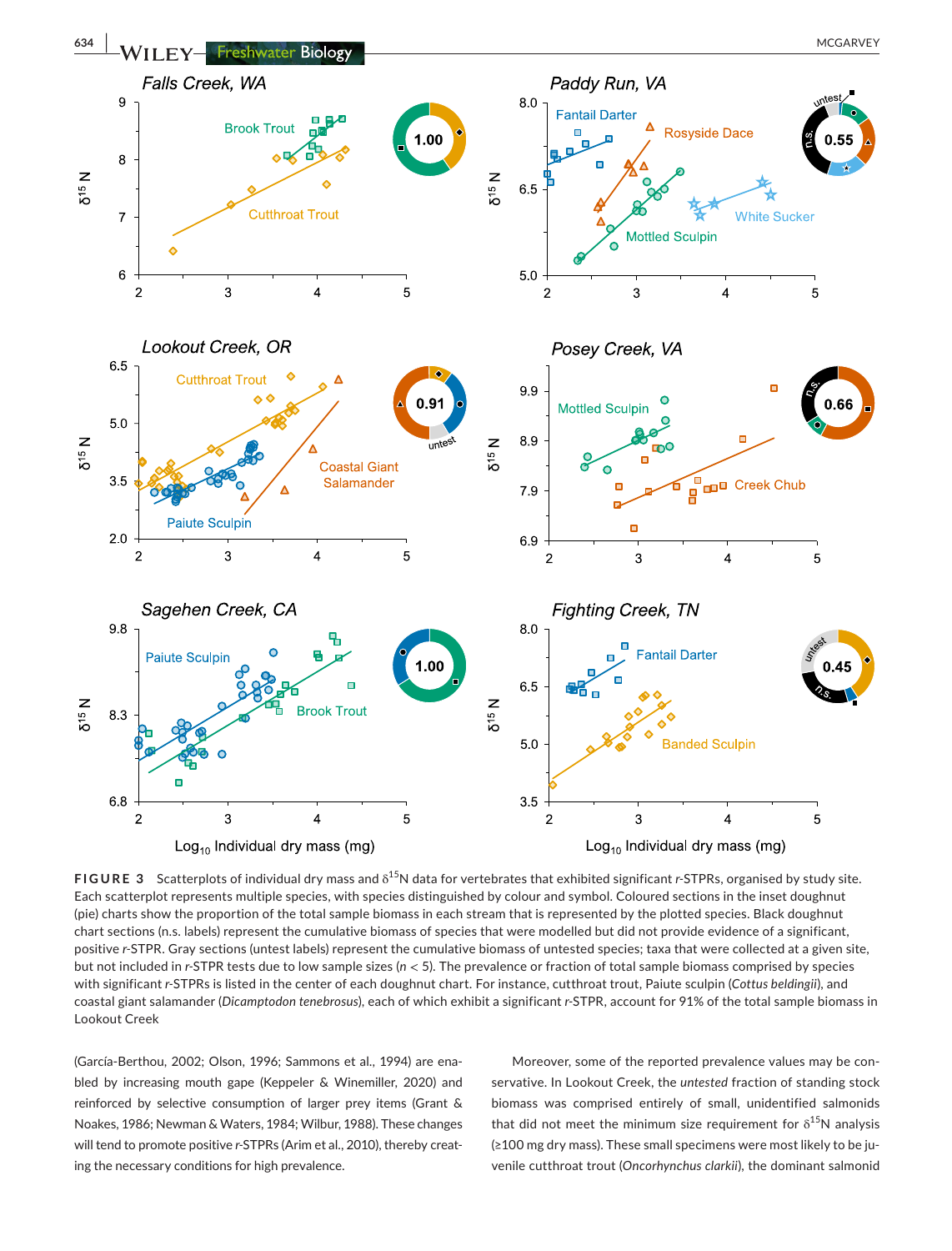

**FIGURE 3** Scatterplots of individual dry mass and  $\delta^{15}N$  data for vertebrates that exhibited significant *r*-STPRs, organised by study site. Each scatterplot represents multiple species, with species distinguished by colour and symbol. Coloured sections in the inset doughnut (pie) charts show the proportion of the total sample biomass in each stream that is represented by the plotted species. Black doughnut chart sections (n.s. labels) represent the cumulative biomass of species that were modelled but did not provide evidence of a significant, positive *r-*STPR. Gray sections (untest labels) represent the cumulative biomass of untested species; taxa that were collected at a given site, but not included in *r-*STPR tests due to low sample sizes (*n* < 5). The prevalence or fraction of total sample biomass comprised by species with significant *r-*STPRs is listed in the center of each doughnut chart. For instance, cutthroat trout, Paiute sculpin (*Cottus beldingii*), and coastal giant salamander (*Dicamptodon tenebrosus*), each of which exhibit a significant *r-*STPR, account for 91% of the total sample biomass in Lookout Creek

(García-Berthou, 2002; Olson, 1996; Sammons et al., 1994) are enabled by increasing mouth gape (Keppeler & Winemiller, 2020) and reinforced by selective consumption of larger prey items (Grant & Noakes, 1986; Newman & Waters, 1984; Wilbur, 1988). These changes will tend to promote positive *r-*STPRs (Arim et al., 2010), thereby creating the necessary conditions for high prevalence.

Moreover, some of the reported prevalence values may be conservative. In Lookout Creek, the *untested* fraction of standing stock biomass was comprised entirely of small, unidentified salmonids that did not meet the minimum size requirement for  $\delta^{15}N$  analysis (≥100 mg dry mass). These small specimens were most likely to be juvenile cutthroat trout (*Oncorhynchus clarkii*), the dominant salmonid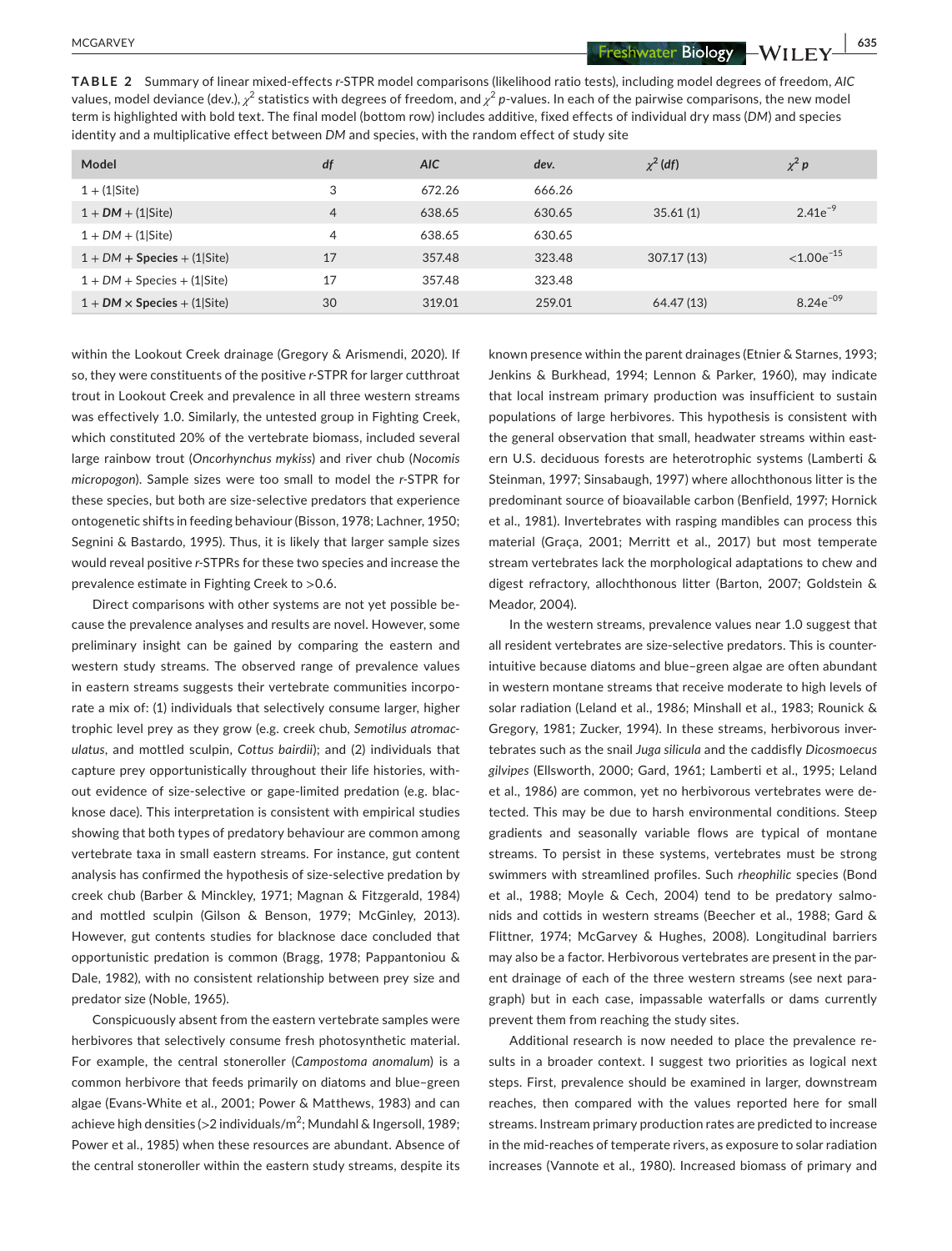**<u>Freshwater Biology</u></u>**  $-WII$  **FY**  $\frac{1}{2}$ 

| TABLE 2 Summary of linear mixed-effects r-STPR model comparisons (likelihood ratio tests), including model degrees of freedom, AIC                    |
|-------------------------------------------------------------------------------------------------------------------------------------------------------|
| values, model deviance (dev.), $\chi^2$ statistics with degrees of freedom, and $\chi^2$ p-values. In each of the pairwise comparisons, the new model |
| term is highlighted with bold text. The final model (bottom row) includes additive, fixed effects of individual dry mass (DM) and species             |
| identity and a multiplicative effect between DM and species, with the random effect of study site                                                     |

| Model                              | df             | <b>AIC</b> | dev.   | $\chi^2$ (df) | $\chi^2$ p      |
|------------------------------------|----------------|------------|--------|---------------|-----------------|
| $1 + (1)$ Site)                    | 3              | 672.26     | 666.26 |               |                 |
| $1 + DM + (1)$ Site)               | $\overline{4}$ | 638.65     | 630.65 | 35.61(1)      | $2.41e^{-9}$    |
| $1 + DM + (1 Site)$                | 4              | 638.65     | 630.65 |               |                 |
| $1 + DM +$ Species + (1 Site)      | 17             | 357.48     | 323.48 | 307.17(13)    | $< 1.00e^{-15}$ |
| $1 + DM + Species + (1 Site)$      | 17             | 357.48     | 323.48 |               |                 |
| $1 + DM \times$ Species + (1 Site) | 30             | 319.01     | 259.01 | 64.47 (13)    | $8.24e^{-09}$   |

within the Lookout Creek drainage (Gregory & Arismendi, 2020). If so, they were constituents of the positive *r-*STPR for larger cutthroat trout in Lookout Creek and prevalence in all three western streams was effectively 1.0. Similarly, the untested group in Fighting Creek, which constituted 20% of the vertebrate biomass, included several large rainbow trout (*Oncorhynchus mykiss*) and river chub (*Nocomis micropogon*). Sample sizes were too small to model the *r-*STPR for these species, but both are size-selective predators that experience ontogenetic shifts in feeding behaviour (Bisson, 1978; Lachner, 1950; Segnini & Bastardo, 1995). Thus, it is likely that larger sample sizes would reveal positive *r-*STPRs for these two species and increase the prevalence estimate in Fighting Creek to >0.6.

Direct comparisons with other systems are not yet possible because the prevalence analyses and results are novel. However, some preliminary insight can be gained by comparing the eastern and western study streams. The observed range of prevalence values in eastern streams suggests their vertebrate communities incorporate a mix of: (1) individuals that selectively consume larger, higher trophic level prey as they grow (e.g. creek chub, *Semotilus atromaculatus*, and mottled sculpin, *Cottus bairdii*); and (2) individuals that capture prey opportunistically throughout their life histories, without evidence of size-selective or gape-limited predation (e.g. blacknose dace). This interpretation is consistent with empirical studies showing that both types of predatory behaviour are common among vertebrate taxa in small eastern streams. For instance, gut content analysis has confirmed the hypothesis of size-selective predation by creek chub (Barber & Minckley, 1971; Magnan & Fitzgerald, 1984) and mottled sculpin (Gilson & Benson, 1979; McGinley, 2013). However, gut contents studies for blacknose dace concluded that opportunistic predation is common (Bragg, 1978; Pappantoniou & Dale, 1982), with no consistent relationship between prey size and predator size (Noble, 1965).

Conspicuously absent from the eastern vertebrate samples were herbivores that selectively consume fresh photosynthetic material. For example, the central stoneroller (*Campostoma anomalum*) is a common herbivore that feeds primarily on diatoms and blue–green algae (Evans-White et al., 2001; Power & Matthews, 1983) and can achieve high densities (>2 individuals/m $^2$ ; Mundahl & Ingersoll, 1989; Power et al., 1985) when these resources are abundant. Absence of the central stoneroller within the eastern study streams, despite its

known presence within the parent drainages (Etnier & Starnes, 1993; Jenkins & Burkhead, 1994; Lennon & Parker, 1960), may indicate that local instream primary production was insufficient to sustain populations of large herbivores. This hypothesis is consistent with the general observation that small, headwater streams within eastern U.S. deciduous forests are heterotrophic systems (Lamberti & Steinman, 1997; Sinsabaugh, 1997) where allochthonous litter is the predominant source of bioavailable carbon (Benfield, 1997; Hornick et al., 1981). Invertebrates with rasping mandibles can process this material (Graça, 2001; Merritt et al., 2017) but most temperate stream vertebrates lack the morphological adaptations to chew and digest refractory, allochthonous litter (Barton, 2007; Goldstein & Meador, 2004).

In the western streams, prevalence values near 1.0 suggest that all resident vertebrates are size-selective predators. This is counterintuitive because diatoms and blue–green algae are often abundant in western montane streams that receive moderate to high levels of solar radiation (Leland et al., 1986; Minshall et al., 1983; Rounick & Gregory, 1981; Zucker, 1994). In these streams, herbivorous invertebrates such as the snail *Juga silicula* and the caddisfly *Dicosmoecus gilvipes* (Ellsworth, 2000; Gard, 1961; Lamberti et al., 1995; Leland et al., 1986) are common, yet no herbivorous vertebrates were detected. This may be due to harsh environmental conditions. Steep gradients and seasonally variable flows are typical of montane streams. To persist in these systems, vertebrates must be strong swimmers with streamlined profiles. Such *rheophilic* species (Bond et al., 1988; Moyle & Cech, 2004) tend to be predatory salmonids and cottids in western streams (Beecher et al., 1988; Gard & Flittner, 1974; McGarvey & Hughes, 2008). Longitudinal barriers may also be a factor. Herbivorous vertebrates are present in the parent drainage of each of the three western streams (see next paragraph) but in each case, impassable waterfalls or dams currently prevent them from reaching the study sites.

Additional research is now needed to place the prevalence results in a broader context. I suggest two priorities as logical next steps. First, prevalence should be examined in larger, downstream reaches, then compared with the values reported here for small streams. Instream primary production rates are predicted to increase in the mid-reaches of temperate rivers, as exposure to solar radiation increases (Vannote et al., 1980). Increased biomass of primary and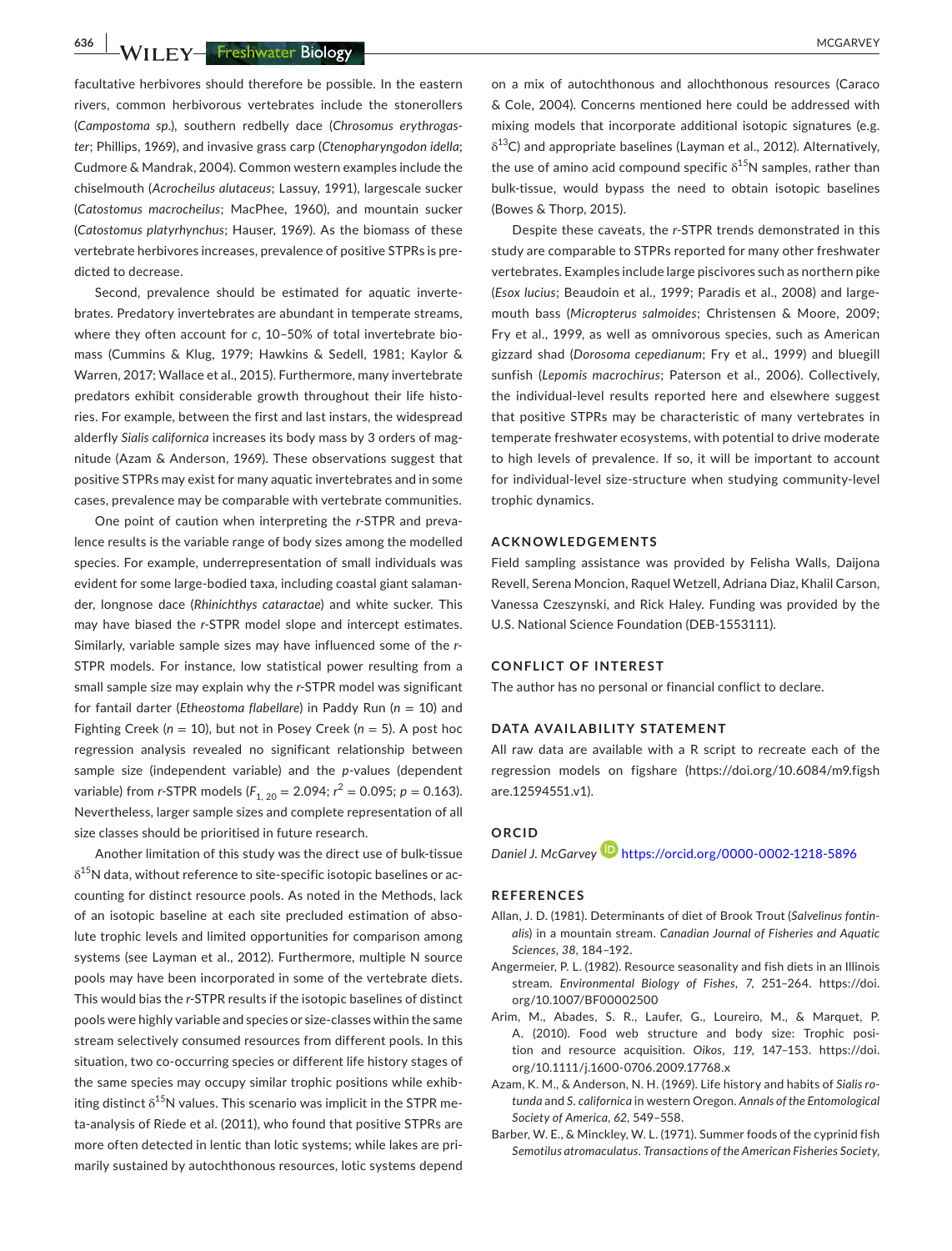**636 WILEY-Freshwater Biology Research Construction of the MCGARVEY MCGARVEY** 

facultative herbivores should therefore be possible. In the eastern rivers, common herbivorous vertebrates include the stonerollers (*Campostoma sp*.), southern redbelly dace (*Chrosomus erythrogaster*; Phillips, 1969), and invasive grass carp (*Ctenopharyngodon idella*; Cudmore & Mandrak, 2004). Common western examples include the chiselmouth (*Acrocheilus alutaceus*; Lassuy, 1991), largescale sucker (*Catostomus macrocheilus*; MacPhee, 1960), and mountain sucker (*Catostomus platyrhynchus*; Hauser, 1969). As the biomass of these vertebrate herbivores increases, prevalence of positive STPRs is predicted to decrease.

Second, prevalence should be estimated for aquatic invertebrates. Predatory invertebrates are abundant in temperate streams, where they often account for *c*, 10–50% of total invertebrate biomass (Cummins & Klug, 1979; Hawkins & Sedell, 1981; Kaylor & Warren, 2017; Wallace et al., 2015). Furthermore, many invertebrate predators exhibit considerable growth throughout their life histories. For example, between the first and last instars, the widespread alderfly *Sialis californica* increases its body mass by 3 orders of magnitude (Azam & Anderson, 1969). These observations suggest that positive STPRs may exist for many aquatic invertebrates and in some cases, prevalence may be comparable with vertebrate communities.

One point of caution when interpreting the *r*-STPR and prevalence results is the variable range of body sizes among the modelled species. For example, underrepresentation of small individuals was evident for some large-bodied taxa, including coastal giant salamander, longnose dace (*Rhinichthys cataractae*) and white sucker. This may have biased the *r*-STPR model slope and intercept estimates. Similarly, variable sample sizes may have influenced some of the *r*-STPR models. For instance, low statistical power resulting from a small sample size may explain why the *r*-STPR model was significant for fantail darter (*Etheostoma flabellare*) in Paddy Run (*n* = 10) and Fighting Creek (*n* = 10), but not in Posey Creek (*n* = 5). A post hoc regression analysis revealed no significant relationship between sample size (independent variable) and the *p*-values (dependent variable) from *r*-STPR models ( $F_{1, 20} = 2.094$ ;  $r^2 = 0.095$ ;  $p = 0.163$ ). Nevertheless, larger sample sizes and complete representation of all size classes should be prioritised in future research.

Another limitation of this study was the direct use of bulk-tissue  $\delta^{15}$ N data, without reference to site-specific isotopic baselines or accounting for distinct resource pools. As noted in the Methods, lack of an isotopic baseline at each site precluded estimation of absolute trophic levels and limited opportunities for comparison among systems (see Layman et al., 2012). Furthermore, multiple N source pools may have been incorporated in some of the vertebrate diets. This would bias the *r*-STPR results if the isotopic baselines of distinct pools were highly variable and species or size-classes within the same stream selectively consumed resources from different pools. In this situation, two co-occurring species or different life history stages of the same species may occupy similar trophic positions while exhibiting distinct  $\delta^{15}$ N values. This scenario was implicit in the STPR meta-analysis of Riede et al. (2011), who found that positive STPRs are more often detected in lentic than lotic systems; while lakes are primarily sustained by autochthonous resources, lotic systems depend

on a mix of autochthonous and allochthonous resources (Caraco & Cole, 2004). Concerns mentioned here could be addressed with mixing models that incorporate additional isotopic signatures (e.g.  $\delta^{13}$ C) and appropriate baselines (Layman et al., 2012). Alternatively, the use of amino acid compound specific  $\delta^{15}N$  samples, rather than bulk-tissue, would bypass the need to obtain isotopic baselines (Bowes & Thorp, 2015).

Despite these caveats, the *r*-STPR trends demonstrated in this study are comparable to STPRs reported for many other freshwater vertebrates. Examples include large piscivores such as northern pike (*Esox lucius*; Beaudoin et al., 1999; Paradis et al., 2008) and largemouth bass (*Micropterus salmoides*; Christensen & Moore, 2009; Fry et al., 1999, as well as omnivorous species, such as American gizzard shad (*Dorosoma cepedianum*; Fry et al., 1999) and bluegill sunfish (*Lepomis macrochirus*; Paterson et al., 2006). Collectively, the individual-level results reported here and elsewhere suggest that positive STPRs may be characteristic of many vertebrates in temperate freshwater ecosystems, with potential to drive moderate to high levels of prevalence. If so, it will be important to account for individual-level size-structure when studying community-level trophic dynamics.

#### **ACKNOWLEDGEMENTS**

Field sampling assistance was provided by Felisha Walls, Daijona Revell, Serena Moncion, Raquel Wetzell, Adriana Diaz, Khalil Carson, Vanessa Czeszynski, and Rick Haley. Funding was provided by the U.S. National Science Foundation (DEB-1553111).

#### **CONFLICT OF INTEREST**

The author has no personal or financial conflict to declare.

#### **DATA AVAILABILITY STATEMENT**

All raw data are available with a R script to recreate each of the regression models on figshare ([https://doi.org/10.6084/m9.figsh](https://doi.org/10.6084/m9.figshare.12594551.v1) [are.12594551.v1](https://doi.org/10.6084/m9.figshare.12594551.v1)).

#### **ORCID**

*Daniel J. McGarvey* <https://orcid.org/0000-0002-1218-5896>

#### **REFERENCES**

- Allan, J. D. (1981). Determinants of diet of Brook Trout (*Salvelinus fontinalis*) in a mountain stream. *Canadian Journal of Fisheries and Aquatic Sciences*, *38*, 184–192.
- Angermeier, P. L. (1982). Resource seasonality and fish diets in an Illinois stream. *Environmental Biology of Fishes*, *7*, 251–264. [https://doi.](https://doi.org/10.1007/BF00002500) [org/10.1007/BF00002500](https://doi.org/10.1007/BF00002500)
- Arim, M., Abades, S. R., Laufer, G., Loureiro, M., & Marquet, P. A. (2010). Food web structure and body size: Trophic position and resource acquisition. *Oikos*, *119*, 147–153. [https://doi.](https://doi.org/10.1111/j.1600-0706.2009.17768.x) [org/10.1111/j.1600-0706.2009.17768.x](https://doi.org/10.1111/j.1600-0706.2009.17768.x)
- Azam, K. M., & Anderson, N. H. (1969). Life history and habits of *Sialis rotunda* and *S. californica* in western Oregon. *Annals of the Entomological Society of America*, *62*, 549–558.
- Barber, W. E., & Minckley, W. L. (1971). Summer foods of the cyprinid fish *Semotilus atromaculatus*. *Transactions of the American Fisheries Society*,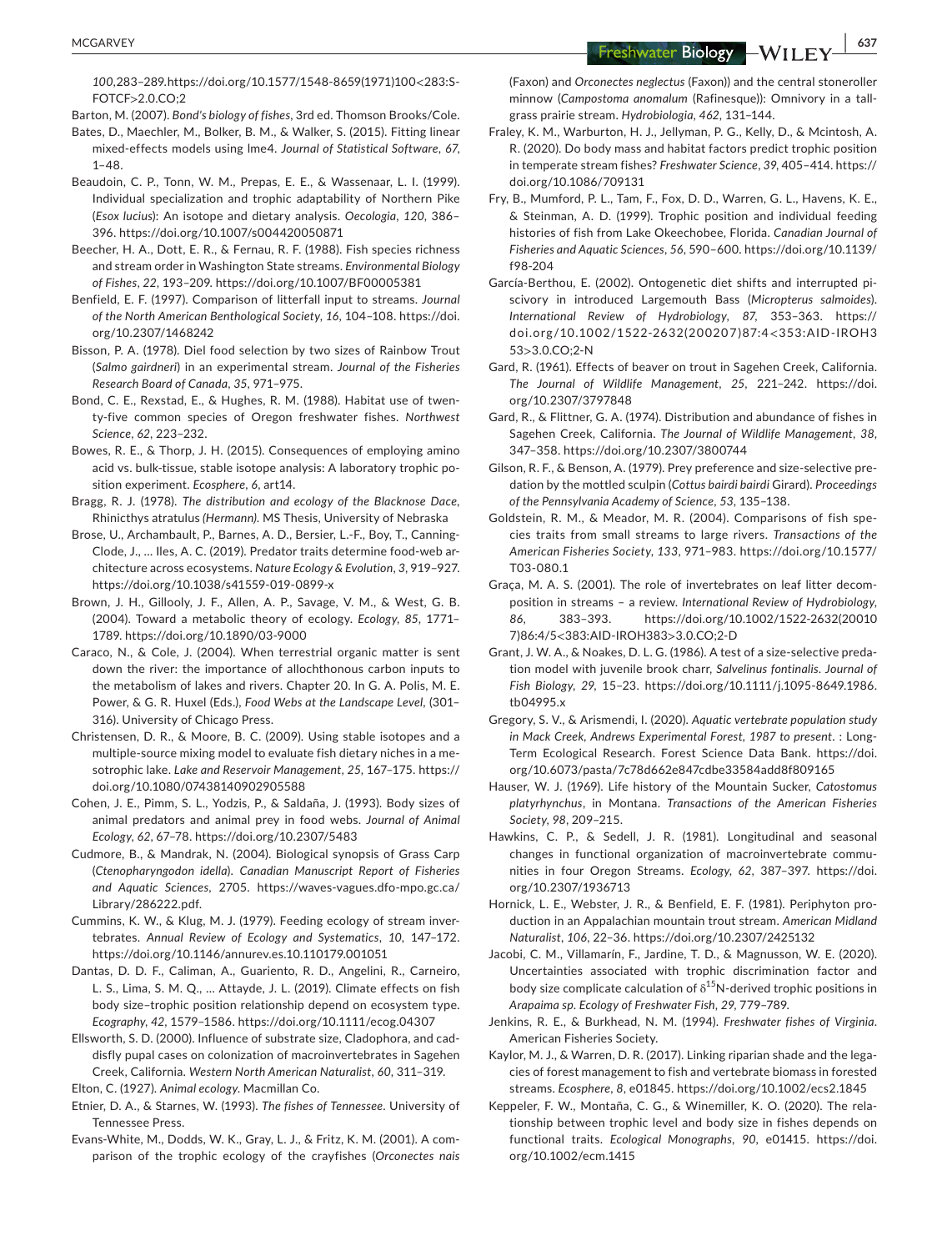**<u>MCGARVEY</u>** *Biology* **BIOLOGY BIOLOGY BIOLOGY BIOLOGY BIOLOGY** 

*100*, 283–289. [https://doi.org/10.1577/1548-8659\(1971\)100](https://doi.org/10.1577/1548-8659(1971)100%3C283:SFOTCF%3E2.0.CO;2)<283:S-FOTCF>[2.0.CO;2](https://doi.org/10.1577/1548-8659(1971)100%3C283:SFOTCF%3E2.0.CO;2)

Barton, M. (2007). *Bond's biology of fishes*, 3rd ed. Thomson Brooks/Cole.

- Bates, D., Maechler, M., Bolker, B. M., & Walker, S. (2015). Fitting linear mixed-effects models using lme4. *Journal of Statistical Software*, *67*, 1–48.
- Beaudoin, C. P., Tonn, W. M., Prepas, E. E., & Wassenaar, L. I. (1999). Individual specialization and trophic adaptability of Northern Pike (*Esox lucius*): An isotope and dietary analysis. *Oecologia*, *120*, 386– 396. <https://doi.org/10.1007/s004420050871>
- Beecher, H. A., Dott, E. R., & Fernau, R. F. (1988). Fish species richness and stream order in Washington State streams. *Environmental Biology of Fishes*, *22*, 193–209. <https://doi.org/10.1007/BF00005381>
- Benfield, E. F. (1997). Comparison of litterfall input to streams. *Journal of the North American Benthological Society*, *16*, 104–108. [https://doi.](https://doi.org/10.2307/1468242) [org/10.2307/1468242](https://doi.org/10.2307/1468242)
- Bisson, P. A. (1978). Diel food selection by two sizes of Rainbow Trout (*Salmo gairdneri*) in an experimental stream. *Journal of the Fisheries Research Board of Canada*, *35*, 971–975.
- Bond, C. E., Rexstad, E., & Hughes, R. M. (1988). Habitat use of twenty-five common species of Oregon freshwater fishes. *Northwest Science*, *62*, 223–232.
- Bowes, R. E., & Thorp, J. H. (2015). Consequences of employing amino acid vs. bulk-tissue, stable isotope analysis: A laboratory trophic position experiment. *Ecosphere*, *6*, art14.
- Bragg, R. J. (1978). *The distribution and ecology of the Blacknose Dace,*  Rhinicthys atratulus *(Hermann)*. MS Thesis, University of Nebraska
- Brose, U., Archambault, P., Barnes, A. D., Bersier, L.-F., Boy, T., Canning-Clode, J., … Iles, A. C. (2019). Predator traits determine food-web architecture across ecosystems. *Nature Ecology & Evolution*, *3*, 919–927. <https://doi.org/10.1038/s41559-019-0899-x>
- Brown, J. H., Gillooly, J. F., Allen, A. P., Savage, V. M., & West, G. B. (2004). Toward a metabolic theory of ecology. *Ecology*, *85*, 1771– 1789.<https://doi.org/10.1890/03-9000>
- Caraco, N., & Cole, J. (2004). When terrestrial organic matter is sent down the river: the importance of allochthonous carbon inputs to the metabolism of lakes and rivers. Chapter 20. In G. A. Polis, M. E. Power, & G. R. Huxel (Eds.), *Food Webs at the Landscape Level*, (301– 316). University of Chicago Press.
- Christensen, D. R., & Moore, B. C. (2009). Using stable isotopes and a multiple-source mixing model to evaluate fish dietary niches in a mesotrophic lake. *Lake and Reservoir Management*, *25*, 167–175. [https://](https://doi.org/10.1080/07438140902905588) [doi.org/10.1080/07438140902905588](https://doi.org/10.1080/07438140902905588)
- Cohen, J. E., Pimm, S. L., Yodzis, P., & Saldaña, J. (1993). Body sizes of animal predators and animal prey in food webs. *Journal of Animal Ecology*, *62*, 67–78.<https://doi.org/10.2307/5483>
- Cudmore, B., & Mandrak, N. (2004). Biological synopsis of Grass Carp (*Ctenopharyngodon idella*). *Canadian Manuscript Report of Fisheries and Aquatic Sciences*, 2705. [https://waves-vagues.dfo-mpo.gc.ca/](https://waves-vagues.dfo-mpo.gc.ca/Library/286222.pdf) [Library/286222.pdf.](https://waves-vagues.dfo-mpo.gc.ca/Library/286222.pdf)
- Cummins, K. W., & Klug, M. J. (1979). Feeding ecology of stream invertebrates. *Annual Review of Ecology and Systematics*, *10*, 147–172. <https://doi.org/10.1146/annurev.es.10.110179.001051>
- Dantas, D. D. F., Caliman, A., Guariento, R. D., Angelini, R., Carneiro, L. S., Lima, S. M. Q., … Attayde, J. L. (2019). Climate effects on fish body size–trophic position relationship depend on ecosystem type. *Ecography*, *42*, 1579–1586.<https://doi.org/10.1111/ecog.04307>
- Ellsworth, S. D. (2000). Influence of substrate size, Cladophora, and caddisfly pupal cases on colonization of macroinvertebrates in Sagehen Creek, California. *Western North American Naturalist*, *60*, 311–319.
- Elton, C. (1927). *Animal ecology*. Macmillan Co.
- Etnier, D. A., & Starnes, W. (1993). *The fishes of Tennessee*. University of Tennessee Press.
- Evans-White, M., Dodds, W. K., Gray, L. J., & Fritz, K. M. (2001). A comparison of the trophic ecology of the crayfishes (*Orconectes nais*

(Faxon) and *Orconectes neglectus* (Faxon)) and the central stoneroller minnow (*Campostoma anomalum* (Rafinesque)): Omnivory in a tallgrass prairie stream. *Hydrobiologia*, *462*, 131–144.

- Fraley, K. M., Warburton, H. J., Jellyman, P. G., Kelly, D., & Mcintosh, A. R. (2020). Do body mass and habitat factors predict trophic position in temperate stream fishes? *Freshwater Science*, *39*, 405–414. [https://](https://doi.org/10.1086/709131) [doi.org/10.1086/709131](https://doi.org/10.1086/709131)
- Fry, B., Mumford, P. L., Tam, F., Fox, D. D., Warren, G. L., Havens, K. E., & Steinman, A. D. (1999). Trophic position and individual feeding histories of fish from Lake Okeechobee, Florida. *Canadian Journal of Fisheries and Aquatic Sciences*, *56*, 590–600. [https://doi.org/10.1139/](https://doi.org/10.1139/f98-204) [f98-204](https://doi.org/10.1139/f98-204)
- García-Berthou, E. (2002). Ontogenetic diet shifts and interrupted piscivory in introduced Largemouth Bass (*Micropterus salmoides*). *International Review of Hydrobiology*, *87*, 353–363. [https://](https://doi.org/10.1002/1522-2632(200207)87:4%3C353:AID-IROH353%3E3.0.CO;2-N) [doi.org/10.1002/1522-2632\(200207\)87:4](https://doi.org/10.1002/1522-2632(200207)87:4%3C353:AID-IROH353%3E3.0.CO;2-N)<353:AID-IROH3 53>[3.0.CO;2-N](https://doi.org/10.1002/1522-2632(200207)87:4%3C353:AID-IROH353%3E3.0.CO;2-N)
- Gard, R. (1961). Effects of beaver on trout in Sagehen Creek, California. *The Journal of Wildlife Management*, *25*, 221–242. [https://doi.](https://doi.org/10.2307/3797848) [org/10.2307/3797848](https://doi.org/10.2307/3797848)
- Gard, R., & Flittner, G. A. (1974). Distribution and abundance of fishes in Sagehen Creek, California. *The Journal of Wildlife Management*, *38*, 347–358. <https://doi.org/10.2307/3800744>
- Gilson, R. F., & Benson, A. (1979). Prey preference and size-selective predation by the mottled sculpin (*Cottus bairdi bairdi* Girard). *Proceedings of the Pennsylvania Academy of Science*, *53*, 135–138.
- Goldstein, R. M., & Meador, M. R. (2004). Comparisons of fish species traits from small streams to large rivers. *Transactions of the American Fisheries Society*, *133*, 971–983. [https://doi.org/10.1577/](https://doi.org/10.1577/T03-080.1) [T03-080.1](https://doi.org/10.1577/T03-080.1)
- Graça, M. A. S. (2001). The role of invertebrates on leaf litter decomposition in streams – a review. *International Review of Hydrobiology*, *86*, 383–393. [https://doi.org/10.1002/1522-2632\(20010](https://doi.org/10.1002/1522-2632(200107)86:4/5%3C383:AID-IROH383%3E3.0.CO;2-D) 7)86:4/5<[383:AID-IROH383](https://doi.org/10.1002/1522-2632(200107)86:4/5%3C383:AID-IROH383%3E3.0.CO;2-D)>3.0.CO;2-D
- Grant, J. W. A., & Noakes, D. L. G. (1986). A test of a size-selective predation model with juvenile brook charr, *Salvelinus fontinalis*. *Journal of Fish Biology*, *29*, 15–23. [https://doi.org/10.1111/j.1095-8649.1986.](https://doi.org/10.1111/j.1095-8649.1986.tb04995.x) [tb04995.x](https://doi.org/10.1111/j.1095-8649.1986.tb04995.x)
- Gregory, S. V., & Arismendi, I. (2020). *Aquatic vertebrate population study in Mack Creek, Andrews Experimental Forest, 1987 to present*. : Long-Term Ecological Research. Forest Science Data Bank. [https://doi.](https://doi.org/10.6073/pasta/7c78d662e847cdbe33584add8f809165) [org/10.6073/pasta/7c78d662e847cdbe33584add8f809165](https://doi.org/10.6073/pasta/7c78d662e847cdbe33584add8f809165)
- Hauser, W. J. (1969). Life history of the Mountain Sucker, *Catostomus platyrhynchus*, in Montana. *Transactions of the American Fisheries Society*, *98*, 209–215.
- Hawkins, C. P., & Sedell, J. R. (1981). Longitudinal and seasonal changes in functional organization of macroinvertebrate communities in four Oregon Streams. *Ecology*, *62*, 387–397. [https://doi.](https://doi.org/10.2307/1936713) [org/10.2307/1936713](https://doi.org/10.2307/1936713)
- Hornick, L. E., Webster, J. R., & Benfield, E. F. (1981). Periphyton production in an Appalachian mountain trout stream. *American Midland Naturalist*, *106*, 22–36.<https://doi.org/10.2307/2425132>
- Jacobi, C. M., Villamarín, F., Jardine, T. D., & Magnusson, W. E. (2020). Uncertainties associated with trophic discrimination factor and body size complicate calculation of  $\delta^{15}N$ -derived trophic positions in *Arapaima sp*. *Ecology of Freshwater Fish*, *29*, 779–789.
- Jenkins, R. E., & Burkhead, N. M. (1994). *Freshwater fishes of Virginia*. American Fisheries Society.
- Kaylor, M. J., & Warren, D. R. (2017). Linking riparian shade and the legacies of forest management to fish and vertebrate biomass in forested streams. *Ecosphere*, *8*, e01845. <https://doi.org/10.1002/ecs2.1845>
- Keppeler, F. W., Montaña, C. G., & Winemiller, K. O. (2020). The relationship between trophic level and body size in fishes depends on functional traits. *Ecological Monographs*, *90*, e01415. [https://doi.](https://doi.org/10.1002/ecm.1415) [org/10.1002/ecm.1415](https://doi.org/10.1002/ecm.1415)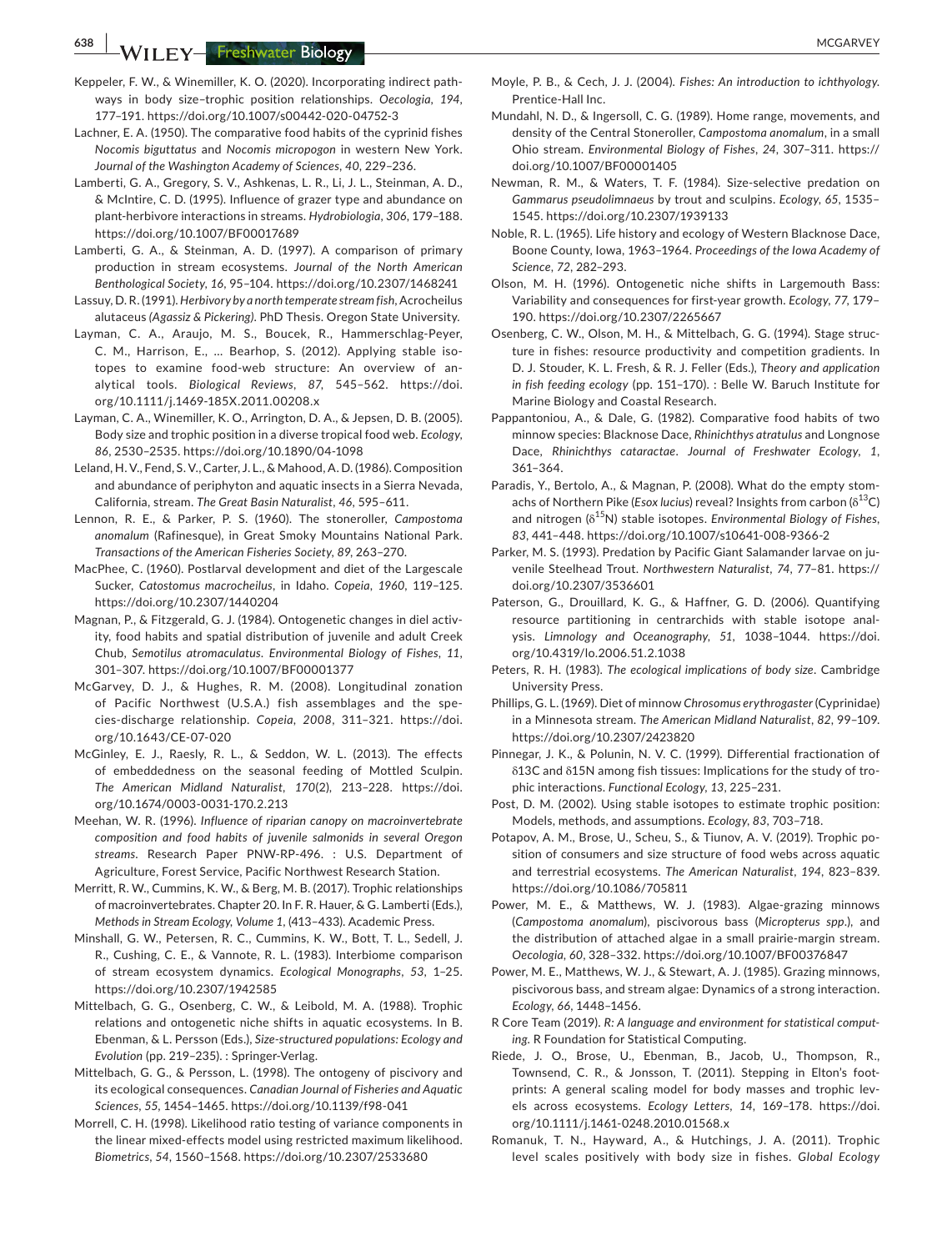**638 WILEY-Freshwater Biology <b>CONSERVEY AND THE EXAMPLE SERVEY MCGARVEY** 

- Keppeler, F. W., & Winemiller, K. O. (2020). Incorporating indirect pathways in body size–trophic position relationships. *Oecologia*, *194*, 177–191.<https://doi.org/10.1007/s00442-020-04752-3>
- Lachner, E. A. (1950). The comparative food habits of the cyprinid fishes *Nocomis biguttatus* and *Nocomis micropogon* in western New York. *Journal of the Washington Academy of Sciences*, *40*, 229–236.
- Lamberti, G. A., Gregory, S. V., Ashkenas, L. R., Li, J. L., Steinman, A. D., & McIntire, C. D. (1995). Influence of grazer type and abundance on plant-herbivore interactions in streams. *Hydrobiologia*, *306*, 179–188. <https://doi.org/10.1007/BF00017689>
- Lamberti, G. A., & Steinman, A. D. (1997). A comparison of primary production in stream ecosystems. *Journal of the North American Benthological Society*, *16*, 95–104. <https://doi.org/10.2307/1468241>
- Lassuy, D. R. (1991). *Herbivory by a north temperate stream fish,* Acrocheilus alutaceus *(Agassiz & Pickering)*. PhD Thesis. Oregon State University.
- Layman, C. A., Araujo, M. S., Boucek, R., Hammerschlag-Peyer, C. M., Harrison, E., … Bearhop, S. (2012). Applying stable isotopes to examine food-web structure: An overview of analytical tools. *Biological Reviews*, *87*, 545–562. [https://doi.](https://doi.org/10.1111/j.1469-185X.2011.00208.x) [org/10.1111/j.1469-185X.2011.00208.x](https://doi.org/10.1111/j.1469-185X.2011.00208.x)
- Layman, C. A., Winemiller, K. O., Arrington, D. A., & Jepsen, D. B. (2005). Body size and trophic position in a diverse tropical food web. *Ecology*, *86*, 2530–2535. <https://doi.org/10.1890/04-1098>
- Leland, H. V., Fend, S. V., Carter, J. L., & Mahood, A. D. (1986). Composition and abundance of periphyton and aquatic insects in a Sierra Nevada, California, stream. *The Great Basin Naturalist*, *46*, 595–611.
- Lennon, R. E., & Parker, P. S. (1960). The stoneroller, *Campostoma anomalum* (Rafinesque), in Great Smoky Mountains National Park. *Transactions of the American Fisheries Society*, *89*, 263–270.
- MacPhee, C. (1960). Postlarval development and diet of the Largescale Sucker, *Catostomus macrocheilus*, in Idaho. *Copeia*, *1960*, 119–125. <https://doi.org/10.2307/1440204>
- Magnan, P., & Fitzgerald, G. J. (1984). Ontogenetic changes in diel activity, food habits and spatial distribution of juvenile and adult Creek Chub, *Semotilus atromaculatus*. *Environmental Biology of Fishes*, *11*, 301–307. <https://doi.org/10.1007/BF00001377>
- McGarvey, D. J., & Hughes, R. M. (2008). Longitudinal zonation of Pacific Northwest (U.S.A.) fish assemblages and the species-discharge relationship. *Copeia*, *2008*, 311–321. [https://doi.](https://doi.org/10.1643/CE-07-020) [org/10.1643/CE-07-020](https://doi.org/10.1643/CE-07-020)
- McGinley, E. J., Raesly, R. L., & Seddon, W. L. (2013). The effects of embeddedness on the seasonal feeding of Mottled Sculpin. *The American Midland Naturalist*, *170*(2), 213–228. [https://doi.](https://doi.org/10.1674/0003-0031-170.2.213) [org/10.1674/0003-0031-170.2.213](https://doi.org/10.1674/0003-0031-170.2.213)
- Meehan, W. R. (1996). *Influence of riparian canopy on macroinvertebrate composition and food habits of juvenile salmonids in several Oregon streams*. Research Paper PNW-RP-496. : U.S. Department of Agriculture, Forest Service, Pacific Northwest Research Station.
- Merritt, R. W., Cummins, K. W., & Berg, M. B. (2017). Trophic relationships of macroinvertebrates. Chapter 20. In F. R. Hauer, & G. Lamberti (Eds.), *Methods in Stream Ecology, Volume 1*, (413–433). Academic Press.
- Minshall, G. W., Petersen, R. C., Cummins, K. W., Bott, T. L., Sedell, J. R., Cushing, C. E., & Vannote, R. L. (1983). Interbiome comparison of stream ecosystem dynamics. *Ecological Monographs*, *53*, 1–25. <https://doi.org/10.2307/1942585>
- Mittelbach, G. G., Osenberg, C. W., & Leibold, M. A. (1988). Trophic relations and ontogenetic niche shifts in aquatic ecosystems. In B. Ebenman, & L. Persson (Eds.), *Size-structured populations: Ecology and Evolution* (pp. 219–235). : Springer-Verlag.
- Mittelbach, G. G., & Persson, L. (1998). The ontogeny of piscivory and its ecological consequences. *Canadian Journal of Fisheries and Aquatic Sciences*, *55*, 1454–1465. <https://doi.org/10.1139/f98-041>
- Morrell, C. H. (1998). Likelihood ratio testing of variance components in the linear mixed-effects model using restricted maximum likelihood. *Biometrics*, *54*, 1560–1568. <https://doi.org/10.2307/2533680>
- Moyle, P. B., & Cech, J. J. (2004). *Fishes: An introduction to ichthyology*. Prentice-Hall Inc.
- Mundahl, N. D., & Ingersoll, C. G. (1989). Home range, movements, and density of the Central Stoneroller, *Campostoma anomalum*, in a small Ohio stream. *Environmental Biology of Fishes*, *24*, 307–311. [https://](https://doi.org/10.1007/BF00001405) [doi.org/10.1007/BF00001405](https://doi.org/10.1007/BF00001405)
- Newman, R. M., & Waters, T. F. (1984). Size-selective predation on *Gammarus pseudolimnaeus* by trout and sculpins. *Ecology*, *65*, 1535– 1545. <https://doi.org/10.2307/1939133>
- Noble, R. L. (1965). Life history and ecology of Western Blacknose Dace, Boone County, Iowa, 1963–1964. *Proceedings of the Iowa Academy of Science*, *72*, 282–293.
- Olson, M. H. (1996). Ontogenetic niche shifts in Largemouth Bass: Variability and consequences for first-year growth. *Ecology*, *77*, 179– 190.<https://doi.org/10.2307/2265667>
- Osenberg, C. W., Olson, M. H., & Mittelbach, G. G. (1994). Stage structure in fishes: resource productivity and competition gradients. In D. J. Stouder, K. L. Fresh, & R. J. Feller (Eds.), *Theory and application in fish feeding ecology* (pp. 151–170). : Belle W. Baruch Institute for Marine Biology and Coastal Research.
- Pappantoniou, A., & Dale, G. (1982). Comparative food habits of two minnow species: Blacknose Dace, *Rhinichthys atratulus* and Longnose Dace, *Rhinichthys cataractae*. *Journal of Freshwater Ecology*, *1*, 361–364.
- Paradis, Y., Bertolo, A., & Magnan, P. (2008). What do the empty stomachs of Northern Pike (*Esox lucius*) reveal? Insights from carbon (δ<sup>13</sup>C) and nitrogen (δ<sup>15</sup>N) stable isotopes. *Environmental Biology of Fishes*, *83*, 441–448.<https://doi.org/10.1007/s10641-008-9366-2>
- Parker, M. S. (1993). Predation by Pacific Giant Salamander larvae on juvenile Steelhead Trout. *Northwestern Naturalist*, *74*, 77–81. [https://](https://doi.org/10.2307/3536601) [doi.org/10.2307/3536601](https://doi.org/10.2307/3536601)
- Paterson, G., Drouillard, K. G., & Haffner, G. D. (2006). Quantifying resource partitioning in centrarchids with stable isotope analysis. *Limnology and Oceanography*, *51*, 1038–1044. [https://doi.](https://doi.org/10.4319/lo.2006.51.2.1038) [org/10.4319/lo.2006.51.2.1038](https://doi.org/10.4319/lo.2006.51.2.1038)
- Peters, R. H. (1983). *The ecological implications of body size*. Cambridge University Press.
- Phillips, G. L. (1969). Diet of minnow *Chrosomus erythrogaster* (Cyprinidae) in a Minnesota stream. *The American Midland Naturalist*, *82*, 99–109. <https://doi.org/10.2307/2423820>
- Pinnegar, J. K., & Polunin, N. V. C. (1999). Differential fractionation of δ13C and δ15N among fish tissues: Implications for the study of trophic interactions. *Functional Ecology*, *13*, 225–231.
- Post, D. M. (2002). Using stable isotopes to estimate trophic position: Models, methods, and assumptions. *Ecology*, *83*, 703–718.
- Potapov, A. M., Brose, U., Scheu, S., & Tiunov, A. V. (2019). Trophic position of consumers and size structure of food webs across aquatic and terrestrial ecosystems. *The American Naturalist*, *194*, 823–839. <https://doi.org/10.1086/705811>
- Power, M. E., & Matthews, W. J. (1983). Algae-grazing minnows (*Campostoma anomalum*), piscivorous bass (*Micropterus spp*.), and the distribution of attached algae in a small prairie-margin stream. *Oecologia*, *60*, 328–332. <https://doi.org/10.1007/BF00376847>
- Power, M. E., Matthews, W. J., & Stewart, A. J. (1985). Grazing minnows, piscivorous bass, and stream algae: Dynamics of a strong interaction. *Ecology*, *66*, 1448–1456.
- R Core Team (2019). *R: A language and environment for statistical computing*. R Foundation for Statistical Computing.
- Riede, J. O., Brose, U., Ebenman, B., Jacob, U., Thompson, R., Townsend, C. R., & Jonsson, T. (2011). Stepping in Elton's footprints: A general scaling model for body masses and trophic levels across ecosystems. *Ecology Letters*, *14*, 169–178. [https://doi.](https://doi.org/10.1111/j.1461-0248.2010.01568.x) [org/10.1111/j.1461-0248.2010.01568.x](https://doi.org/10.1111/j.1461-0248.2010.01568.x)
- Romanuk, T. N., Hayward, A., & Hutchings, J. A. (2011). Trophic level scales positively with body size in fishes. *Global Ecology*